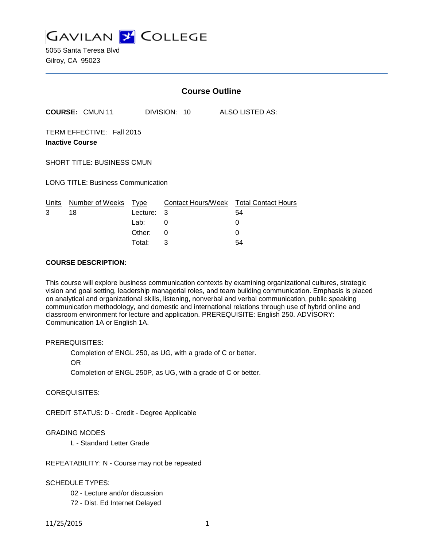

5055 Santa Teresa Blvd Gilroy, CA 95023

|                                                     |                        | <b>Course Outline</b> |                           |  |                            |
|-----------------------------------------------------|------------------------|-----------------------|---------------------------|--|----------------------------|
|                                                     | <b>COURSE: CMUN 11</b> |                       | DIVISION: 10              |  | ALSO LISTED AS:            |
| TERM EFFECTIVE: Fall 2015<br><b>Inactive Course</b> |                        |                       |                           |  |                            |
| <b>SHORT TITLE: BUSINESS CMUN</b>                   |                        |                       |                           |  |                            |
| <b>LONG TITLE: Business Communication</b>           |                        |                       |                           |  |                            |
| Units                                               | Number of Weeks        | Type                  | <b>Contact Hours/Week</b> |  | <b>Total Contact Hours</b> |
| 3                                                   | 18                     | Lecture:              | 3                         |  | 54                         |
|                                                     |                        | Lab:                  | 0                         |  | 0                          |
|                                                     |                        | Other:                | 0                         |  | 0                          |
|                                                     |                        | Total:                | 3                         |  | 54                         |

## **COURSE DESCRIPTION:**

This course will explore business communication contexts by examining organizational cultures, strategic vision and goal setting, leadership managerial roles, and team building communication. Emphasis is placed on analytical and organizational skills, listening, nonverbal and verbal communication, public speaking communication methodology, and domestic and international relations through use of hybrid online and classroom environment for lecture and application. PREREQUISITE: English 250. ADVISORY: Communication 1A or English 1A.

### PREREQUISITES:

Completion of ENGL 250, as UG, with a grade of C or better.

OR

Completion of ENGL 250P, as UG, with a grade of C or better.

### COREQUISITES:

CREDIT STATUS: D - Credit - Degree Applicable

### GRADING MODES

L - Standard Letter Grade

REPEATABILITY: N - Course may not be repeated

### SCHEDULE TYPES:

02 - Lecture and/or discussion

72 - Dist. Ed Internet Delayed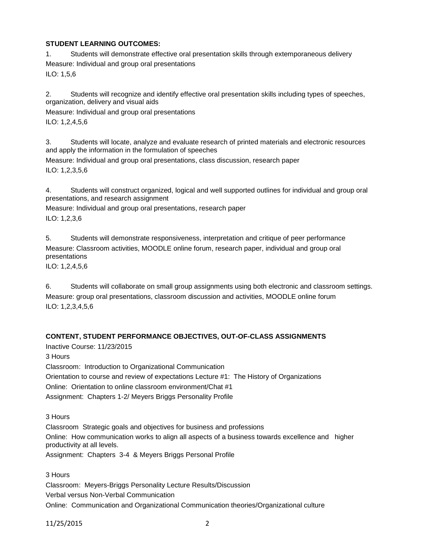# **STUDENT LEARNING OUTCOMES:**

1. Students will demonstrate effective oral presentation skills through extemporaneous delivery Measure: Individual and group oral presentations ILO: 1,5,6

2. Students will recognize and identify effective oral presentation skills including types of speeches, organization, delivery and visual aids

Measure: Individual and group oral presentations

ILO: 1,2,4,5,6

3. Students will locate, analyze and evaluate research of printed materials and electronic resources and apply the information in the formulation of speeches

Measure: Individual and group oral presentations, class discussion, research paper ILO: 1,2,3,5,6

4. Students will construct organized, logical and well supported outlines for individual and group oral presentations, and research assignment

Measure: Individual and group oral presentations, research paper ILO: 1,2,3,6

5. Students will demonstrate responsiveness, interpretation and critique of peer performance Measure: Classroom activities, MOODLE online forum, research paper, individual and group oral presentations

ILO: 1,2,4,5,6

6. Students will collaborate on small group assignments using both electronic and classroom settings. Measure: group oral presentations, classroom discussion and activities, MOODLE online forum ILO: 1,2,3,4,5,6

# **CONTENT, STUDENT PERFORMANCE OBJECTIVES, OUT-OF-CLASS ASSIGNMENTS**

Inactive Course: 11/23/2015

3 Hours

Classroom: Introduction to Organizational Communication Orientation to course and review of expectations Lecture #1: The History of Organizations Online: Orientation to online classroom environment/Chat #1 Assignment: Chapters 1-2/ Meyers Briggs Personality Profile

3 Hours

Classroom Strategic goals and objectives for business and professions Online: How communication works to align all aspects of a business towards excellence and higher productivity at all levels. Assignment: Chapters 3-4 & Meyers Briggs Personal Profile

3 Hours

Classroom: Meyers-Briggs Personality Lecture Results/Discussion Verbal versus Non-Verbal Communication Online: Communication and Organizational Communication theories/Organizational culture

11/25/2015 2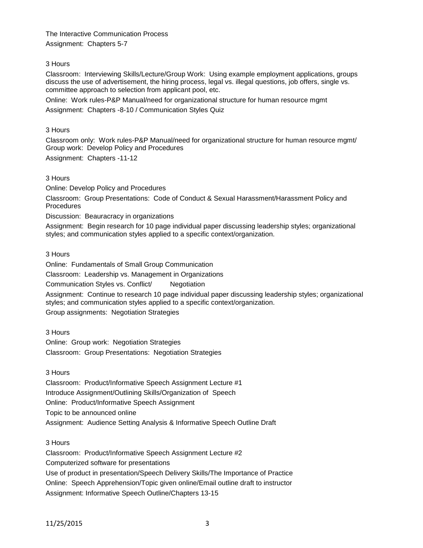The Interactive Communication Process Assignment: Chapters 5-7

## 3 Hours

Classroom: Interviewing Skills/Lecture/Group Work: Using example employment applications, groups discuss the use of advertisement, the hiring process, legal vs. illegal questions, job offers, single vs. committee approach to selection from applicant pool, etc.

Online: Work rules-P&P Manual/need for organizational structure for human resource mgmt

Assignment: Chapters -8-10 / Communication Styles Quiz

## 3 Hours

Classroom only: Work rules-P&P Manual/need for organizational structure for human resource mgmt/ Group work: Develop Policy and Procedures Assignment: Chapters -11-12

3 Hours

Online: Develop Policy and Procedures

Classroom: Group Presentations: Code of Conduct & Sexual Harassment/Harassment Policy and **Procedures** 

Discussion: Beauracracy in organizations

Assignment: Begin research for 10 page individual paper discussing leadership styles; organizational styles; and communication styles applied to a specific context/organization.

3 Hours

Online: Fundamentals of Small Group Communication

Classroom: Leadership vs. Management in Organizations

Communication Styles vs. Conflict/ Negotiation

Assignment: Continue to research 10 page individual paper discussing leadership styles; organizational styles; and communication styles applied to a specific context/organization.

Group assignments: Negotiation Strategies

3 Hours

Online: Group work: Negotiation Strategies Classroom: Group Presentations: Negotiation Strategies

3 Hours

Classroom: Product/Informative Speech Assignment Lecture #1

Introduce Assignment/Outlining Skills/Organization of Speech

Online: Product/Informative Speech Assignment

Topic to be announced online

Assignment: Audience Setting Analysis & Informative Speech Outline Draft

3 Hours

Classroom: Product/Informative Speech Assignment Lecture #2 Computerized software for presentations Use of product in presentation/Speech Delivery Skills/The Importance of Practice Online: Speech Apprehension/Topic given online/Email outline draft to instructor Assignment: Informative Speech Outline/Chapters 13-15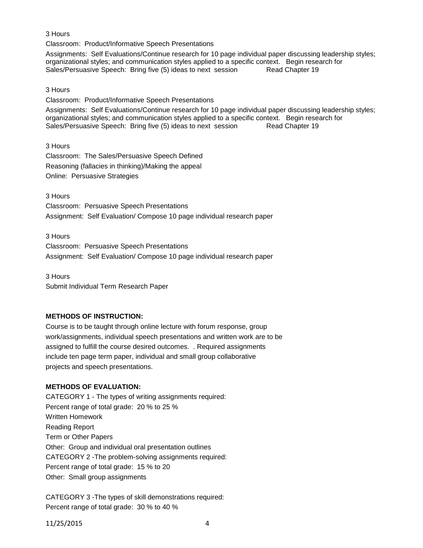# 3 Hours

Classroom: Product/Informative Speech Presentations

Assignments: Self Evaluations/Continue research for 10 page individual paper discussing leadership styles; organizational styles; and communication styles applied to a specific context. Begin research for Sales/Persuasive Speech: Bring five (5) ideas to next session [1] Read Chapter 19 Sales/Persuasive Speech: Bring five (5) ideas to next session

## 3 Hours

Classroom: Product/Informative Speech Presentations

Assignments: Self Evaluations/Continue research for 10 page individual paper discussing leadership styles; organizational styles; and communication styles applied to a specific context. Begin research for Sales/Persuasive Speech: Bring five (5) ideas to next session Read Chapter 19

3 Hours

Classroom: The Sales/Persuasive Speech Defined Reasoning (fallacies in thinking)/Making the appeal Online: Persuasive Strategies

3 Hours

Classroom: Persuasive Speech Presentations Assignment: Self Evaluation/ Compose 10 page individual research paper

3 Hours Classroom: Persuasive Speech Presentations Assignment: Self Evaluation/ Compose 10 page individual research paper

3 Hours Submit Individual Term Research Paper

# **METHODS OF INSTRUCTION:**

Course is to be taught through online lecture with forum response, group work/assignments, individual speech presentations and written work are to be assigned to fulfill the course desired outcomes. . Required assignments include ten page term paper, individual and small group collaborative projects and speech presentations.

# **METHODS OF EVALUATION:**

CATEGORY 1 - The types of writing assignments required: Percent range of total grade: 20 % to 25 % Written Homework Reading Report Term or Other Papers Other: Group and individual oral presentation outlines CATEGORY 2 -The problem-solving assignments required: Percent range of total grade: 15 % to 20 Other: Small group assignments

CATEGORY 3 -The types of skill demonstrations required: Percent range of total grade: 30 % to 40 %

11/25/2015 4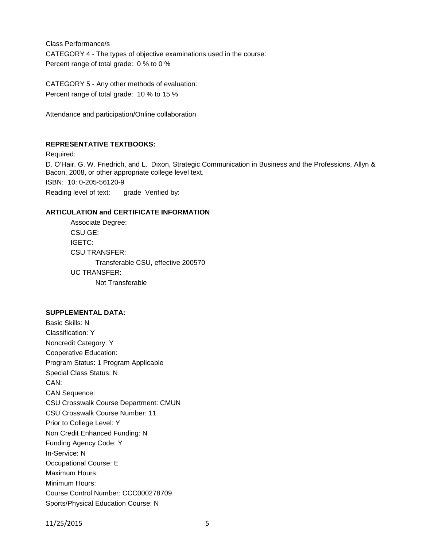Class Performance/s CATEGORY 4 - The types of objective examinations used in the course: Percent range of total grade: 0 % to 0 %

CATEGORY 5 - Any other methods of evaluation: Percent range of total grade: 10 % to 15 %

Attendance and participation/Online collaboration

# **REPRESENTATIVE TEXTBOOKS:**

Required: D. O'Hair, G. W. Friedrich, and L. Dixon, Strategic Communication in Business and the Professions, Allyn & Bacon, 2008, or other appropriate college level text. ISBN: 10: 0-205-56120-9 Reading level of text: grade Verified by:

### **ARTICULATION and CERTIFICATE INFORMATION**

Associate Degree: CSU GE: IGETC: CSU TRANSFER: Transferable CSU, effective 200570 UC TRANSFER: Not Transferable

### **SUPPLEMENTAL DATA:**

Basic Skills: N Classification: Y Noncredit Category: Y Cooperative Education: Program Status: 1 Program Applicable Special Class Status: N CAN: CAN Sequence: CSU Crosswalk Course Department: CMUN CSU Crosswalk Course Number: 11 Prior to College Level: Y Non Credit Enhanced Funding: N Funding Agency Code: Y In-Service: N Occupational Course: E Maximum Hours: Minimum Hours: Course Control Number: CCC000278709 Sports/Physical Education Course: N

11/25/2015 5